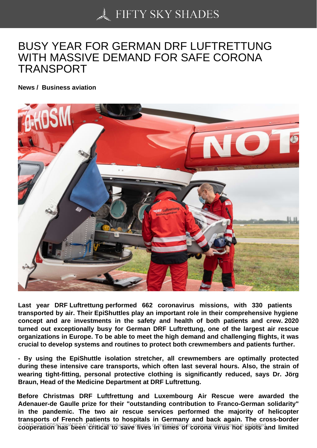## [BUSY YEAR FOR GER](https://50skyshades.com)MAN DRF LUFTRETTUNG WITH MASSIVE DEMAND FOR SAFE CORONA TRANSPORT

News / Business aviation

Last year DRF Luftrettung performed 662 coronavirus missions, with 330 patients transported by air. Their EpiShuttles play an important role in their comprehensive hygiene concept and are investments in the safety and health of both patients and crew. 2020 turned out exceptionally busy for German DRF Luftrettung, one of the largest air rescue organizations in Europe. To be able to meet the high demand and challenging flights, it was crucial to develop systems and routines to protect both crewmembers and patients further.

- By using the EpiShuttle isolation stretcher, all crewmembers are optimally protected during these intensive care transports, which often last several hours. Also, the strain of wearing tight-fitting, personal protective clothing is significantly reduced, says Dr. Jörg Braun, Head of the Medicine Department at DRF Luftrettung.

Before Christmas DRF Luftfrettung and Luxembourg Air Rescue were awarded the Adenauer-de Gaulle prize for their "outstanding contribution to Franco-German solidarity" in the pandemic. The two air rescue services performed the majority of helicopter transports of French patients to hospitals in Germany and back again. The cross-border @ 2015-2022 50SKYSHADES.COM Cal<sup>R</sup>eproduction ives in times of corona wires al purposes is problem ited. <sup>1</sup>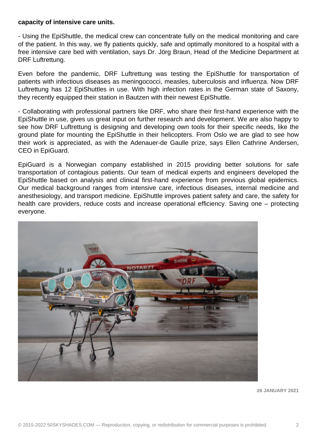## **capacity of intensive care units.**

- Using the EpiShuttle, the medical crew can concentrate fully on the medical monitoring and care of the patient. In this way, we fly patients quickly, safe and optimally monitored to a hospital with a free intensive care bed with ventilation, says Dr. Jörg Braun, Head of the Medicine Department at DRF Luftrettung.

Even before the pandemic, DRF Luftrettung was testing the EpiShuttle for transportation of patients with infectious diseases as meningococci, measles, tuberculosis and influenza. Now DRF Luftrettung has 12 EpiShuttles in use. With high infection rates in the German state of Saxony, they recently equipped their station in Bautzen with their newest EpiShuttle.

- Collaborating with professional partners like DRF, who share their first-hand experience with the EpiShuttle in use, gives us great input on further research and development. We are also happy to see how DRF Luftrettung is designing and developing own tools for their specific needs, like the ground plate for mounting the EpiShuttle in their helicopters. From Oslo we are glad to see how their work is appreciated, as with the Adenauer-de Gaulle prize, says Ellen Cathrine Andersen, CEO in EpiGuard.

EpiGuard is a Norwegian company established in 2015 providing better solutions for safe transportation of contagious patients. Our team of medical experts and engineers developed the EpiShuttle based on analysis and clinical first-hand experience from previous global epidemics. Our medical background ranges from intensive care, infectious diseases, internal medicine and anesthesiology, and transport medicine. EpiShuttle improves patient safety and care, the safety for health care providers, reduce costs and increase operational efficiency. Saving one – protecting everyone.



**26 JANUARY 2021**